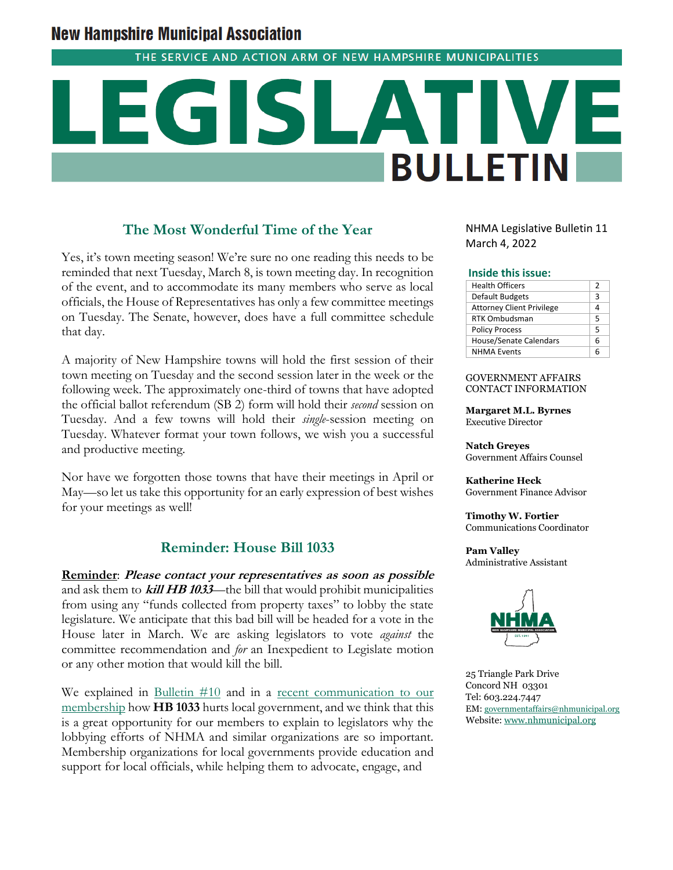# **New Hampshire Municipal Association**

THE SERVICE AND ACTION ARM OF NEW HAMPSHIRE MUNICIPALITIES

# **BULLETIN**

## **The Most Wonderful Time of the Year**

Yes, it's town meeting season! We're sure no one reading this needs to be reminded that next Tuesday, March 8, is town meeting day. In recognition of the event, and to accommodate its many members who serve as local officials, the House of Representatives has only a few committee meetings on Tuesday. The Senate, however, does have a full committee schedule that day.

A majority of New Hampshire towns will hold the first session of their town meeting on Tuesday and the second session later in the week or the following week. The approximately one-third of towns that have adopted the official ballot referendum (SB 2) form will hold their *second* session on Tuesday. And a few towns will hold their *single*-session meeting on Tuesday. Whatever format your town follows, we wish you a successful and productive meeting.

Nor have we forgotten those towns that have their meetings in April or May—so let us take this opportunity for an early expression of best wishes for your meetings as well!

## **Reminder: House Bill 1033**

**Reminder**: **Please contact your representatives as soon as possible**  and ask them to **kill HB 1033**—the bill that would prohibit municipalities from using any "funds collected from property taxes" to lobby the state legislature. We anticipate that this bad bill will be headed for a vote in the House later in March. We are asking legislators to vote *against* the committee recommendation and *for* an Inexpedient to Legislate motion or any other motion that would kill the bill.

We explained in [Bulletin #10](https://www.nhmunicipal.org/legislative-bulletin/2022-nhma-legislative-bulletin-10) and in a recent communication to our [membership](https://mailchi.mp/nhmunicipal/webinar-new-703108) how **HB 1033** hurts local government, and we think that this is a great opportunity for our members to explain to legislators why the lobbying efforts of NHMA and similar organizations are so important. Membership organizations for local governments provide education and support for local officials, while helping them to advocate, engage, and

NHMA Legislative Bulletin 11 March 4, 2022

#### **Inside this issue:**

| <b>Health Officers</b>           | 2 |
|----------------------------------|---|
| Default Budgets                  | 3 |
| <b>Attorney Client Privilege</b> |   |
| <b>RTK Ombudsman</b>             | 5 |
| <b>Policy Process</b>            | 5 |
| <b>House/Senate Calendars</b>    | 6 |
| <b>NHMA Events</b>               |   |

#### GOVERNMENT AFFAIRS CONTACT INFORMATION

**Margaret M.L. Byrnes** Executive Director

**Natch Greyes** Government Affairs Counsel

**Katherine Heck** Government Finance Advisor

**Timothy W. Fortier** Communications Coordinator

**Pam Valley** Administrative Assistant



25 Triangle Park Drive Concord NH 03301 Tel: 603.224.7447 EM: [governmentaffairs@nhmunicipal.org](mailto:governmentaffairs@nhmunicipal.org) Website: [www.nhmunicipal.org](http://www.nhmunicipal.org/)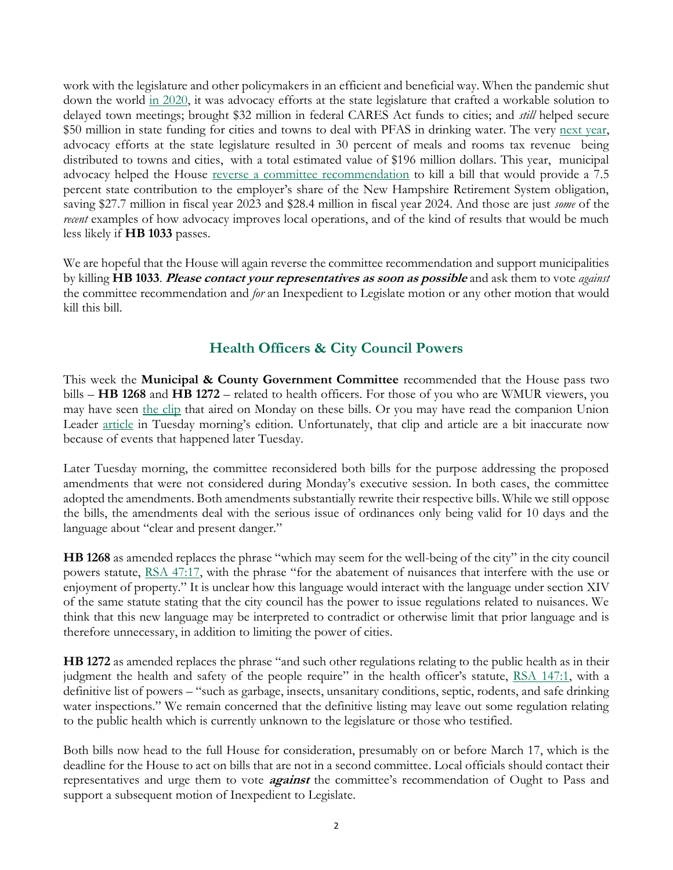work with the legislature and other policymakers in an efficient and beneficial way. When the pandemic shut down the world [in 2020,](https://www.nhmunicipal.org/legislative-bulletin/2020-nhma-final-legislative-bulletin) it was advocacy efforts at the state legislature that crafted a workable solution to delayed town meetings; brought \$32 million in federal CARES Act funds to cities; and *still* helped secure \$50 million in state funding for cities and towns to deal with PFAS in drinking water. The very [next year,](https://www.nhmunicipal.org/legislative-bulletin/2021-nhma-legislative-bulletin-final) advocacy efforts at the state legislature resulted in 30 percent of meals and rooms tax revenue being distributed to towns and cities, with a total estimated value of \$196 million dollars. This year, municipal advocacy helped the House [reverse a committee recommendation](https://www.nhmunicipal.org/legislative-bulletin/2022-nhma-legislative-bulletin-09#26684) to kill a bill that would provide a 7.5 percent state contribution to the employer's share of the New Hampshire Retirement System obligation, saving \$27.7 million in fiscal year 2023 and \$28.4 million in fiscal year 2024. And those are just *some* of the *recent* examples of how advocacy improves local operations, and of the kind of results that would be much less likely if **HB 1033** passes.

We are hopeful that the House will again reverse the committee recommendation and support municipalities by killing **HB 1033**. **Please contact your representatives as soon as possible** and ask them to vote *against* the committee recommendation and *for* an Inexpedient to Legislate motion or any other motion that would kill this bill.

# **Health Officers & City Council Powers**

This week the **Municipal & County Government Committee** recommended that the House pass two bills – **HB 1268** and **HB 1272** – related to health officers. For those of you who are WMUR viewers, you may have seen [the clip](https://www.wmur.com/article/new-hampshire-house-republicans-push-bills-to-limit-local-public-health-officials/39270264) that aired on Monday on these bills. Or you may have read the companion Union Leader <u>article</u> in Tuesday morning's edition. Unfortunately, that clip and [article](https://www.unionleader.com/news/health/coronavirus/bill-to-limit-power-of-new-hampshire-city-council-moves-forward/article_030d4017-85af-522d-9a6b-d4b589dfc479.html) are a bit inaccurate now because of events that happened later Tuesday.

Later Tuesday morning, the committee reconsidered both bills for the purpose addressing the proposed amendments that were not considered during Monday's executive session. In both cases, the committee adopted the amendments. Both amendments substantially rewrite their respective bills. While we still oppose the bills, the amendments deal with the serious issue of ordinances only being valid for 10 days and the language about "clear and present danger."

**HB 1268** as amended replaces the phrase "which may seem for the well-being of the city" in the city council powers statute, [RSA 47:17](http://www.gencourt.state.nh.us/rsa/html/III/47/47-17.htm), with the phrase "for the abatement of nuisances that interfere with the use or enjoyment of property." It is unclear how this language would interact with the language under section XIV of the same statute stating that the city council has the power to issue regulations related to nuisances. We think that this new language may be interpreted to contradict or otherwise limit that prior language and is therefore unnecessary, in addition to limiting the power of cities.

**HB 1272** as amended replaces the phrase "and such other regulations relating to the public health as in their judgment the health and safety of the people require" in the health officer's statute, [RSA 147:1,](http://www.gencourt.state.nh.us/rsa/html/x/147/147-1.htm) with a definitive list of powers – "such as garbage, insects, unsanitary conditions, septic, rodents, and safe drinking water inspections." We remain concerned that the definitive listing may leave out some regulation relating to the public health which is currently unknown to the legislature or those who testified.

Both bills now head to the full House for consideration, presumably on or before March 17, which is the deadline for the House to act on bills that are not in a second committee. Local officials should contact their representatives and urge them to vote **against** the committee's recommendation of Ought to Pass and support a subsequent motion of Inexpedient to Legislate.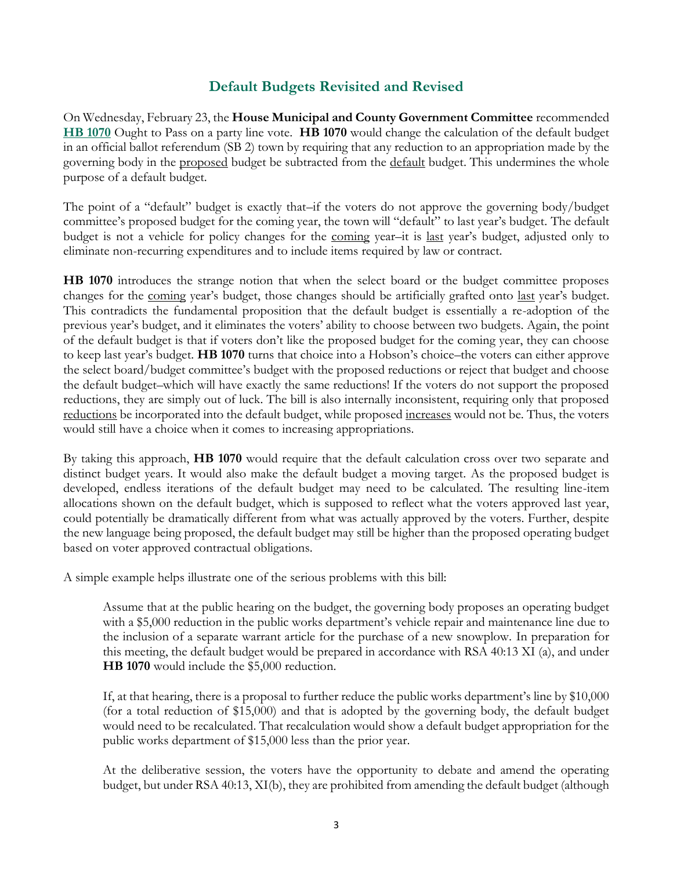# **Default Budgets Revisited and Revised**

On Wednesday, February 23, the **House Municipal and County Government Committee** recommended **[HB 1070](http://www.gencourt.state.nh.us/bill_status/pdf.aspx?id=26094&q=billVersion)** Ought to Pass on a party line vote. **HB 1070** would change the calculation of the default budget in an official ballot referendum (SB 2) town by requiring that any reduction to an appropriation made by the governing body in the proposed budget be subtracted from the default budget. This undermines the whole purpose of a default budget.

The point of a "default" budget is exactly that–if the voters do not approve the governing body/budget committee's proposed budget for the coming year, the town will "default" to last year's budget. The default budget is not a vehicle for policy changes for the coming year–it is last year's budget, adjusted only to eliminate non-recurring expenditures and to include items required by law or contract.

**HB 1070** introduces the strange notion that when the select board or the budget committee proposes changes for the coming year's budget, those changes should be artificially grafted onto last year's budget. This contradicts the fundamental proposition that the default budget is essentially a re-adoption of the previous year's budget, and it eliminates the voters' ability to choose between two budgets. Again, the point of the default budget is that if voters don't like the proposed budget for the coming year, they can choose to keep last year's budget. **HB 1070** turns that choice into a Hobson's choice–the voters can either approve the select board/budget committee's budget with the proposed reductions or reject that budget and choose the default budget–which will have exactly the same reductions! If the voters do not support the proposed reductions, they are simply out of luck. The bill is also internally inconsistent, requiring only that proposed reductions be incorporated into the default budget, while proposed <u>increases</u> would not be. Thus, the voters would still have a choice when it comes to increasing appropriations.

By taking this approach, **HB 1070** would require that the default calculation cross over two separate and distinct budget years. It would also make the default budget a moving target. As the proposed budget is developed, endless iterations of the default budget may need to be calculated. The resulting line-item allocations shown on the default budget, which is supposed to reflect what the voters approved last year, could potentially be dramatically different from what was actually approved by the voters. Further, despite the new language being proposed, the default budget may still be higher than the proposed operating budget based on voter approved contractual obligations.

A simple example helps illustrate one of the serious problems with this bill:

Assume that at the public hearing on the budget, the governing body proposes an operating budget with a \$5,000 reduction in the public works department's vehicle repair and maintenance line due to the inclusion of a separate warrant article for the purchase of a new snowplow. In preparation for this meeting, the default budget would be prepared in accordance with RSA 40:13 XI (a), and under **HB 1070** would include the \$5,000 reduction.

If, at that hearing, there is a proposal to further reduce the public works department's line by \$10,000 (for a total reduction of \$15,000) and that is adopted by the governing body, the default budget would need to be recalculated. That recalculation would show a default budget appropriation for the public works department of \$15,000 less than the prior year.

At the deliberative session, the voters have the opportunity to debate and amend the operating budget, but under RSA 40:13, XI(b), they are prohibited from amending the default budget (although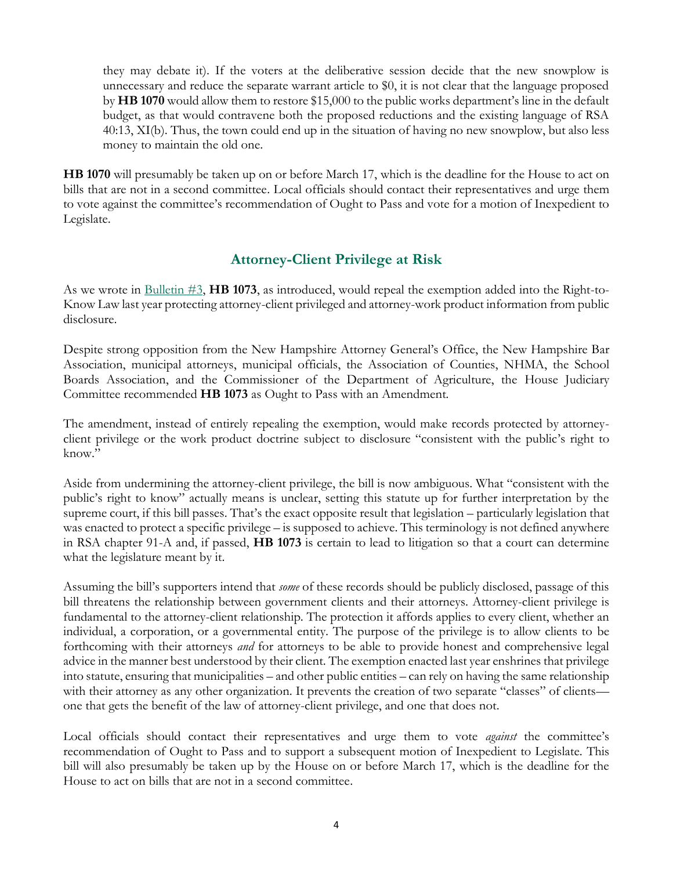they may debate it). If the voters at the deliberative session decide that the new snowplow is unnecessary and reduce the separate warrant article to \$0, it is not clear that the language proposed by **HB 1070** would allow them to restore \$15,000 to the public works department's line in the default budget, as that would contravene both the proposed reductions and the existing language of RSA 40:13, XI(b). Thus, the town could end up in the situation of having no new snowplow, but also less money to maintain the old one.

**HB 1070** will presumably be taken up on or before March 17, which is the deadline for the House to act on bills that are not in a second committee. Local officials should contact their representatives and urge them to vote against the committee's recommendation of Ought to Pass and vote for a motion of Inexpedient to Legislate.

## **Attorney-Client Privilege at Risk**

As we wrote in [Bulletin #3,](https://www.nhmunicipal.org/legislative-bulletin/2022-nhma-legislative-bulletin-03) **HB 1073**, as introduced, would repeal the exemption added into the Right-to-Know Law last year protecting attorney-client privileged and attorney-work product information from public disclosure.

Despite strong opposition from the New Hampshire Attorney General's Office, the New Hampshire Bar Association, municipal attorneys, municipal officials, the Association of Counties, NHMA, the School Boards Association, and the Commissioner of the Department of Agriculture, the House Judiciary Committee recommended **HB 1073** as Ought to Pass with an Amendment*.*

The amendment, instead of entirely repealing the exemption, would make records protected by attorneyclient privilege or the work product doctrine subject to disclosure "consistent with the public's right to know."

Aside from undermining the attorney-client privilege, the bill is now ambiguous. What "consistent with the public's right to know" actually means is unclear, setting this statute up for further interpretation by the supreme court, if this bill passes. That's the exact opposite result that legislation – particularly legislation that was enacted to protect a specific privilege – is supposed to achieve. This terminology is not defined anywhere in RSA chapter 91-A and, if passed, **HB 1073** is certain to lead to litigation so that a court can determine what the legislature meant by it.

Assuming the bill's supporters intend that *some* of these records should be publicly disclosed, passage of this bill threatens the relationship between government clients and their attorneys. Attorney-client privilege is fundamental to the attorney-client relationship. The protection it affords applies to every client, whether an individual, a corporation, or a governmental entity. The purpose of the privilege is to allow clients to be forthcoming with their attorneys *and* for attorneys to be able to provide honest and comprehensive legal advice in the manner best understood by their client. The exemption enacted last year enshrines that privilege into statute, ensuring that municipalities – and other public entities – can rely on having the same relationship with their attorney as any other organization. It prevents the creation of two separate "classes" of clients one that gets the benefit of the law of attorney-client privilege, and one that does not.

Local officials should contact their representatives and urge them to vote *against* the committee's recommendation of Ought to Pass and to support a subsequent motion of Inexpedient to Legislate. This bill will also presumably be taken up by the House on or before March 17, which is the deadline for the House to act on bills that are not in a second committee.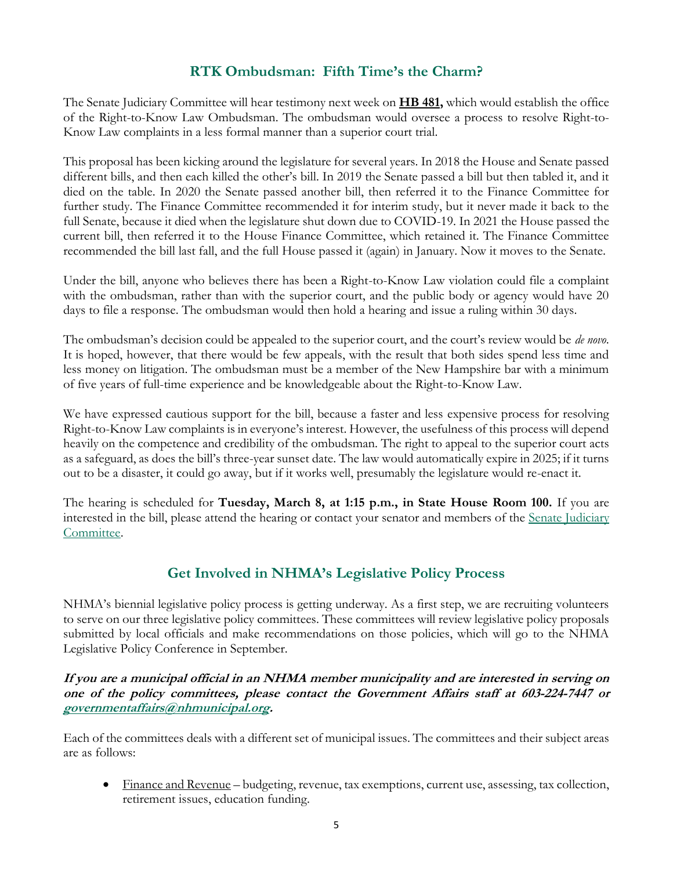# **RTK Ombudsman: Fifth Time's the Charm?**

The Senate Judiciary Committee will hear testimony next week on **[HB 481,](http://www.gencourt.state.nh.us/bill_status/pdf.aspx?id=30009&q=billVersion)** which would establish the office of the Right-to-Know Law Ombudsman. The ombudsman would oversee a process to resolve Right-to-Know Law complaints in a less formal manner than a superior court trial.

This proposal has been kicking around the legislature for several years. In 2018 the House and Senate passed different bills, and then each killed the other's bill. In 2019 the Senate passed a bill but then tabled it, and it died on the table. In 2020 the Senate passed another bill, then referred it to the Finance Committee for further study. The Finance Committee recommended it for interim study, but it never made it back to the full Senate, because it died when the legislature shut down due to COVID-19. In 2021 the House passed the current bill, then referred it to the House Finance Committee, which retained it. The Finance Committee recommended the bill last fall, and the full House passed it (again) in January. Now it moves to the Senate.

Under the bill, anyone who believes there has been a Right-to-Know Law violation could file a complaint with the ombudsman, rather than with the superior court, and the public body or agency would have 20 days to file a response. The ombudsman would then hold a hearing and issue a ruling within 30 days.

The ombudsman's decision could be appealed to the superior court, and the court's review would be *de novo*. It is hoped, however, that there would be few appeals, with the result that both sides spend less time and less money on litigation. The ombudsman must be a member of the New Hampshire bar with a minimum of five years of full-time experience and be knowledgeable about the Right-to-Know Law.

We have expressed cautious support for the bill, because a faster and less expensive process for resolving Right-to-Know Law complaints is in everyone's interest. However, the usefulness of this process will depend heavily on the competence and credibility of the ombudsman. The right to appeal to the superior court acts as a safeguard, as does the bill's three-year sunset date. The law would automatically expire in 2025; if it turns out to be a disaster, it could go away, but if it works well, presumably the legislature would re-enact it.

The hearing is scheduled for **Tuesday, March 8, at 1:15 p.m., in State House Room 100.** If you are interested in the bill, please attend the hearing or contact your senator and members of the [Senate Judiciary](http://www.gencourt.state.nh.us/senate/committees/committee_details.aspx?cc=33)  [Committee.](http://www.gencourt.state.nh.us/senate/committees/committee_details.aspx?cc=33)

# **Get Involved in NHMA's Legislative Policy Process**

NHMA's biennial legislative policy process is getting underway. As a first step, we are recruiting volunteers to serve on our three legislative policy committees. These committees will review legislative policy proposals submitted by local officials and make recommendations on those policies, which will go to the NHMA Legislative Policy Conference in September.

**If you are a municipal official in an NHMA member municipality and are interested in serving on one of the policy committees, please contact the Government Affairs staff at 603-224-7447 or [governmentaffairs@nhmunicipal.org.](mailto:governmentaffairs@nhmunicipal.org)** 

Each of the committees deals with a different set of municipal issues. The committees and their subject areas are as follows:

• Finance and Revenue – budgeting, revenue, tax exemptions, current use, assessing, tax collection, retirement issues, education funding.